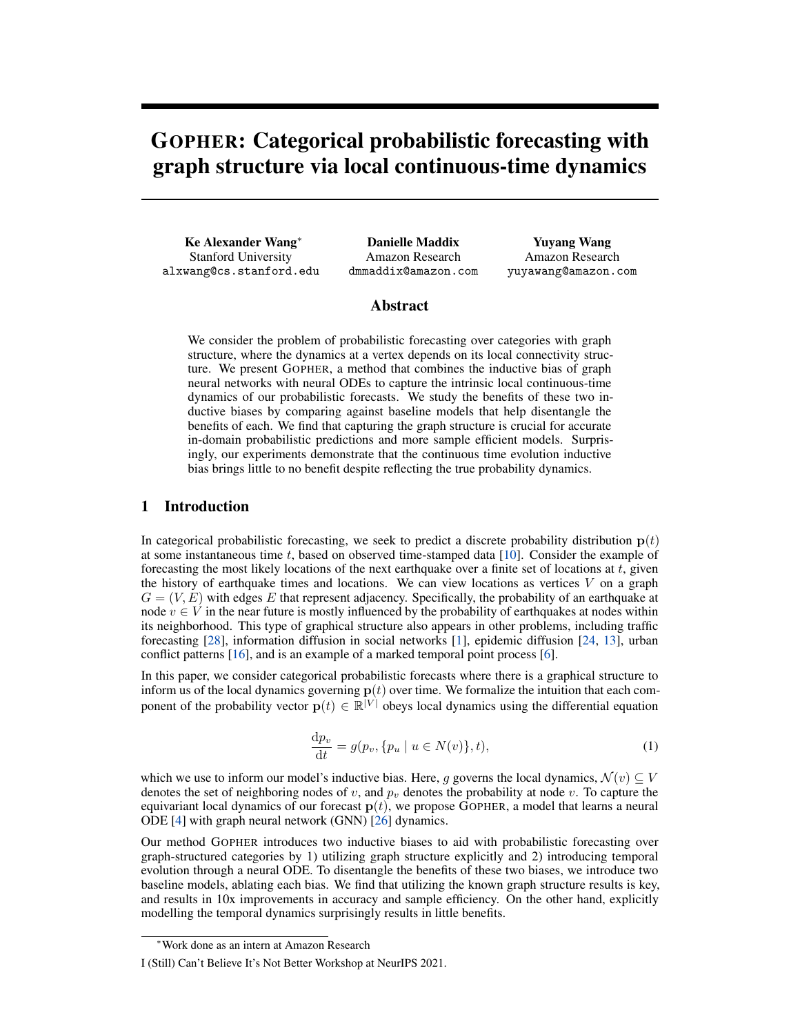# GOPHER: Categorical probabilistic forecasting with graph structure via local continuous-time dynamics

Ke Alexander Wang*∗* Stanford University alxwang@cs.stanford.edu

Danielle Maddix Amazon Research dmmaddix@amazon.com

Yuyang Wang Amazon Research yuyawang@amazon.com

#### Abstract

We consider the problem of probabilistic forecasting over categories with graph structure, where the dynamics at a vertex depends on its local connectivity structure. We present GOPHER, a method that combines the inductive bias of graph neural networks with neural ODEs to capture the intrinsic local continuous-time dynamics of our probabilistic forecasts. We study the benefits of these two inductive biases by comparing against baseline models that help disentangle the benefits of each. We find that capturing the graph structure is crucial for accurate in-domain probabilistic predictions and more sample efficient models. Surprisingly, our experiments demonstrate that the continuous time evolution inductive bias brings little to no benefit despite reflecting the true probability dynamics.

## 1 Introduction

In categorical probabilistic forecasting, we seek to predict a discrete probability distribution  $p(t)$ at some instantaneous time *t*, based on observed time-stamped data [\[10](#page-4-0)]. Consider the example of forecasting the most likely locations of the next earthquake over a finite set of locations at *t*, given the history of earthquake times and locations. We can view locations as vertices  $V$  on a graph  $G = (V, E)$  with edges E that represent adjacency. Specifically, the probability of an earthquake at node  $v \in V$  in the near future is mostly influenced by the probability of earthquakes at nodes within its neighborhood. This type of graphical structure also appears in other problems, including traffic forecasting [\[28\]](#page-5-0), information diffusion in social networks [\[1](#page-4-1)], epidemic diffusion [[24,](#page-5-1) [13\]](#page-4-2), urban conflict patterns [[16\]](#page-4-3), and is an example of a marked temporal point process [[6\]](#page-4-4).

<span id="page-0-0"></span>In this paper, we consider categorical probabilistic forecasts where there is a graphical structure to inform us of the local dynamics governing  $p(t)$  over time. We formalize the intuition that each component of the probability vector  $\mathbf{p}(t) \in \mathbb{R}^{|V|}$  obeys local dynamics using the differential equation

$$
\frac{\mathrm{d}p_v}{\mathrm{d}t} = g(p_v, \{p_u \mid u \in N(v)\}, t),\tag{1}
$$

which we use to inform our model's inductive bias. Here, *q* governs the local dynamics,  $\mathcal{N}(v) \subset V$ denotes the set of neighboring nodes of *v*, and  $p_v$  denotes the probability at node *v*. To capture the equivariant local dynamics of our forecast **p**(*t*), we propose GOPHER, a model that learns a neural ODE [\[4](#page-4-5)] with graph neural network (GNN) [[26\]](#page-5-2) dynamics.

Our method GOPHER introduces two inductive biases to aid with probabilistic forecasting over graph-structured categories by 1) utilizing graph structure explicitly and 2) introducing temporal evolution through a neural ODE. To disentangle the benefits of these two biases, we introduce two baseline models, ablating each bias. We find that utilizing the known graph structure results is key, and results in 10x improvements in accuracy and sample efficiency. On the other hand, explicitly modelling the temporal dynamics surprisingly results in little benefits.

*<sup>∗</sup>*Work done as an intern at Amazon Research

I (Still) Can't Believe It's Not Better Workshop at NeurIPS 2021.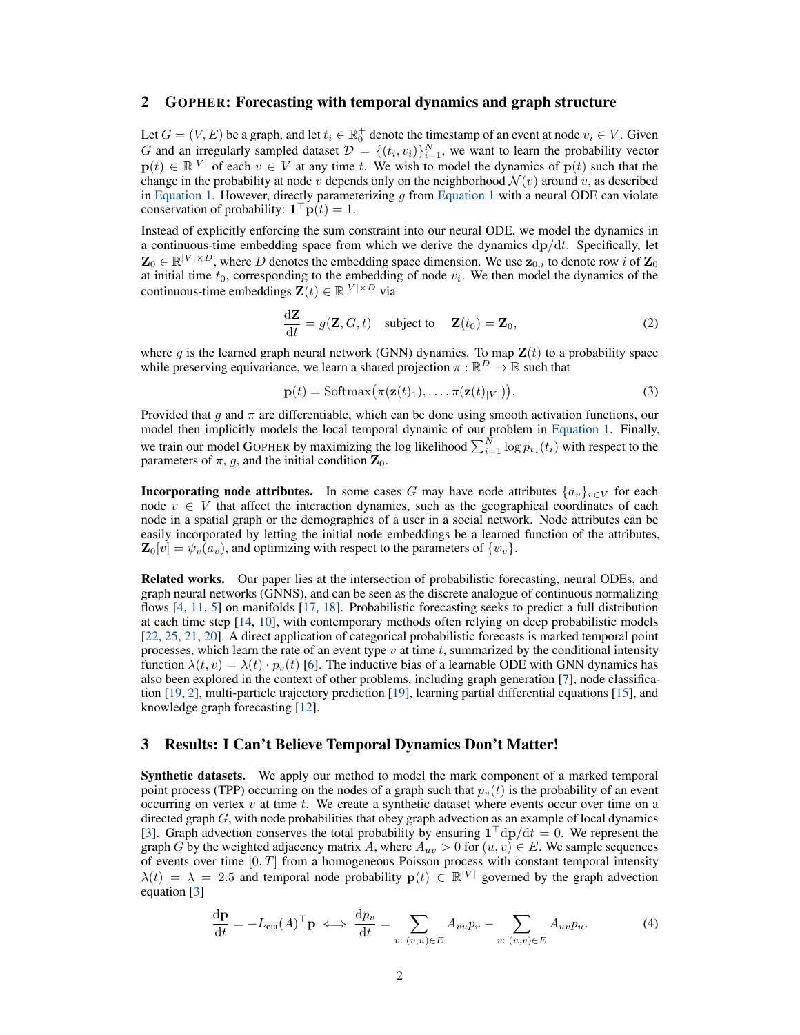#### 2 GOPHER: Forecasting with temporal dynamics and graph structure

Let  $G = (V, E)$  be a graph, and let  $t_i \in \mathbb{R}_0^+$  denote the timestamp of an event at node  $v_i \in V$ . Given *G* and an irregularly sampled dataset  $D = \{(t_i, v_i)\}_{i=1}^N$ , we want to learn the probability vector  $\mathbf{p}(t)$  ∈  $\mathbb{R}^{|V|}$  of each  $v \in V$  at any time *t*. We wish to model the dynamics of  $\mathbf{p}(t)$  such that the change in the probability at node *v* depends only on the neighborhood  $\mathcal{N}(v)$  around *v*, as described in [Equation 1](#page-0-0). However, directly parameterizing *g* from [Equation 1](#page-0-0) with a neural ODE can violate conservation of probability:  $\mathbf{1}^\top \mathbf{p}(t) = 1$ .

Instead of explicitly enforcing the sum constraint into our neural ODE, we model the dynamics in a continuous-time embedding space from which we derive the dynamics d**p***/*d*t*. Specifically, let  $\mathbf{Z}_0 \in \mathbb{R}^{|V| \times D}$ , where *D* denotes the embedding space dimension. We use  $\mathbf{z}_{0,i}$  to denote row *i* of  $\mathbf{Z}_0$ at initial time  $t_0$ , corresponding to the embedding of node  $v_i$ . We then model the dynamics of the continuous-time embeddings  $\mathbf{Z}(t) \in \mathbb{R}^{|V| \times D}$  via

$$
\frac{\mathrm{d}\mathbf{Z}}{\mathrm{d}t} = g(\mathbf{Z}, G, t) \quad \text{subject to} \quad \mathbf{Z}(t_0) = \mathbf{Z}_0,\tag{2}
$$

where  $g$  is the learned graph neural network (GNN) dynamics. To map  $\mathbf{Z}(t)$  to a probability space while preserving equivariance, we learn a shared projection  $\pi : \mathbb{R}^D \to \mathbb{R}$  such that

$$
\mathbf{p}(t) = \text{Softmax}(\pi(\mathbf{z}(t)_1), \dots, \pi(\mathbf{z}(t)_{|V|})).
$$
\n(3)

Provided that  $g$  and  $\pi$  are differentiable, which can be done using smooth activation functions, our model then implicitly models the local temporal dynamic of our problem in [Equation 1.](#page-0-0) Finally, we train our model GOPHER by maximizing the log likelihood  $\sum_{i=1}^{N} \log p_{v_i}(t_i)$  with respect to the parameters of  $\pi$ ,  $g$ , and the initial condition  $\mathbf{Z}_0$ .

**Incorporating node attributes.** In some cases *G* may have node attributes  $\{a_v\}_{v \in V}$  for each node  $v \in V$  that affect the interaction dynamics, such as the geographical coordinates of each node in a spatial graph or the demographics of a user in a social network. Node attributes can be easily incorporated by letting the initial node embeddings be a learned function of the attributes,  $\mathbf{Z}_0[v] = \psi_v(a_v)$ , and optimizing with respect to the parameters of  $\{\psi_v\}$ .

Related works. Our paper lies at the intersection of probabilistic forecasting, neural ODEs, and graph neural networks (GNNS), and can be seen as the discrete analogue of continuous normalizing flows [[4,](#page-4-5) [11](#page-4-6), [5](#page-4-7)] on manifolds [[17,](#page-4-8) [18](#page-5-3)]. Probabilistic forecasting seeks to predict a full distribution at each time step [[14,](#page-4-9) [10](#page-4-0)], with contemporary methods often relying on deep probabilistic models [\[22](#page-5-4), [25](#page-5-5), [21](#page-5-6), [20](#page-5-7)]. A direct application of categorical probabilistic forecasts is marked temporal point processes, which learn the rate of an event type *v* at time *t*, summarized by the conditional intensity function  $\lambda(t, v) = \lambda(t) \cdot p_v(t)$  [[6\]](#page-4-4). The inductive bias of a learnable ODE with GNN dynamics has also been explored in the context of other problems, including graph generation [[7\]](#page-4-10), node classification [\[19](#page-5-8), [2\]](#page-4-11), multi-particle trajectory prediction [\[19](#page-5-8)], learning partial differential equations [\[15](#page-4-12)], and knowledge graph forecasting [\[12](#page-4-13)].

### 3 Results: I Can't Believe Temporal Dynamics Don't Matter!

Synthetic datasets. We apply our method to model the mark component of a marked temporal point process (TPP) occurring on the nodes of a graph such that  $p_v(t)$  is the probability of an event occurring on vertex  $v$  at time  $t$ . We create a synthetic dataset where events occur over time on a directed graph *G*, with node probabilities that obey graph advection as an example of local dynamics [\[3](#page-4-14)]. Graph advection conserves the total probability by ensuring **1** *<sup>⊤</sup>*d**p***/*d*t* = 0. We represent the graph *G* by the weighted adjacency matrix *A*, where  $A_{uv} > 0$  for  $(u, v) \in E$ . We sample sequences of events over time [0*, T*] from a homogeneous Poisson process with constant temporal intensity  $\lambda(t) = \lambda = 2.5$  and temporal node probability  $p(t) \in \mathbb{R}^{|V|}$  governed by the graph advection equation [\[3](#page-4-14)]

$$
\frac{\mathrm{d}\mathbf{p}}{\mathrm{d}t} = -L_{\text{out}}(A)^{\top}\mathbf{p} \iff \frac{\mathrm{d}p_v}{\mathrm{d}t} = \sum_{v: (v, u) \in E} A_{vu}p_v - \sum_{v: (u, v) \in E} A_{uv}p_u.
$$
 (4)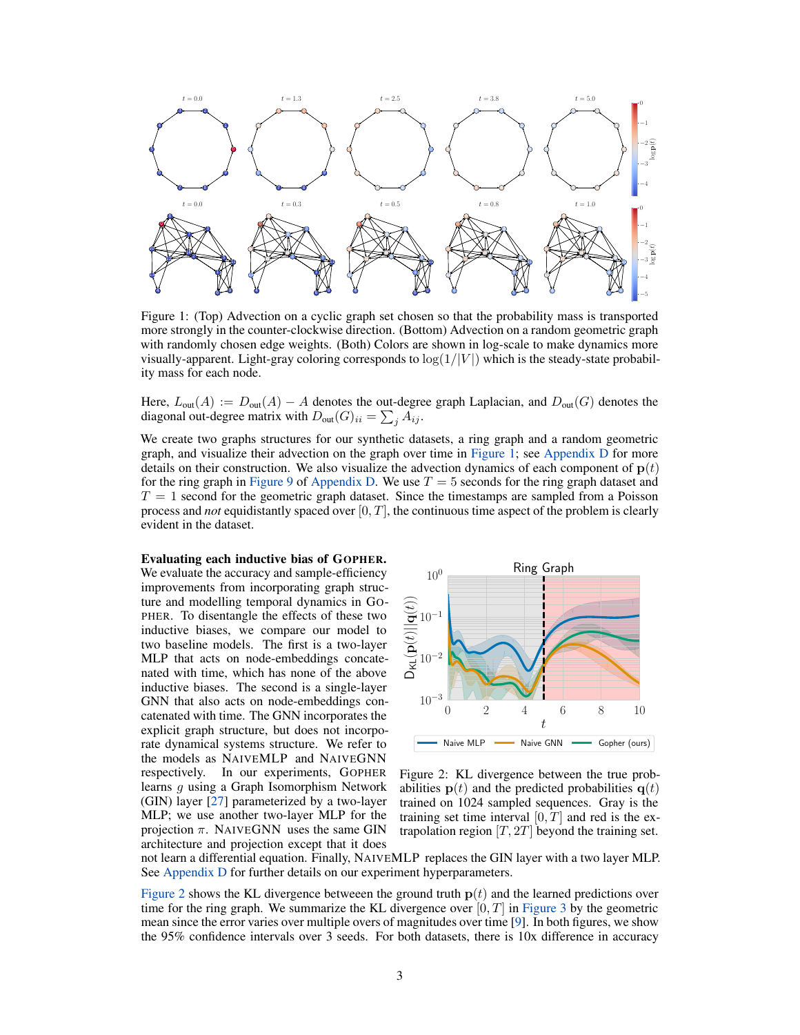<span id="page-2-0"></span>

Figure 1: (Top) Advection on a cyclic graph set chosen so that the probability mass is transported more strongly in the counter-clockwise direction. (Bottom) Advection on a random geometric graph with randomly chosen edge weights. (Both) Colors are shown in log-scale to make dynamics more visually-apparent. Light-gray coloring corresponds to  $\log(1/|V|)$  which is the steady-state probability mass for each node.

Here, *L*out(*A*) := *D*out(*A*) *− A* denotes the out-degree graph Laplacian, and *D*out(*G*) denotes the diagonal out-degree matrix with  $D_{\text{out}}(G)_{ii} = \sum_j A_{ij}$ .

We create two graphs structures for our synthetic datasets, a ring graph and a random geometric graph, and visualize their advection on the graph over time in [Figure 1;](#page-2-0) see Appendix D for more details on their construction. We also visualize the advection dynamics of each component of  $p(t)$ for the ring graph in Figure 9 of Appendix D. We use  $T = 5$  seconds for the ring graph dataset and  $T = 1$  second for the geometric graph dataset. Since the timestamps are sampled from a Poisson process and *not* equidistantly spaced over [0*, T*], the continuous time aspect of the problem is clearly evident in the dataset.

#### Evaluating each inductive bias of GOPHER.

We evaluate the accuracy and sample-efficiency improvements from incorporating graph structure and modelling temporal dynamics in GO-PHER. To disentangle the effects of these two inductive biases, we compare our model to two baseline models. The first is a two-layer MLP that acts on node-embeddings concatenated with time, which has none of the above inductive biases. The second is a single-layer GNN that also acts on node-embeddings concatenated with time. The GNN incorporates the explicit graph structure, but does not incorporate dynamical systems structure. We refer to the models as NAIVEMLP and NAIVEGNN respectively. In our experiments, GOPHER learns *g* using a Graph Isomorphism Network (GIN) layer [[27](#page-5-9)] parameterized by a two-layer MLP; we use another two-layer MLP for the projection *π*. NAIVEGNN uses the same GIN architecture and projection except that it does

<span id="page-2-1"></span>

Figure 2: KL divergence between the true probabilities  $p(t)$  and the predicted probabilities  $q(t)$ trained on 1024 sampled sequences. Gray is the training set time interval  $[0, T]$  and red is the extrapolation region  $[T, 2T]$  beyond the training set.

not learn a differential equation. Finally, NAIVEMLP replaces the GIN layer with a two layer MLP. See Appendix D for further details on our experiment hyperparameters.

[Figure 2](#page-2-1) shows the KL divergence betweeen the ground truth  $p(t)$  and the learned predictions over time for the ring graph. We summarize the KL divergence over [0*, T*] in [Figure 3](#page-3-0) by the geometric mean since the error varies over multiple overs of magnitudes over time [\[9](#page-4-15)]. In both figures, we show the 95% confidence intervals over 3 seeds. For both datasets, there is 10x difference in accuracy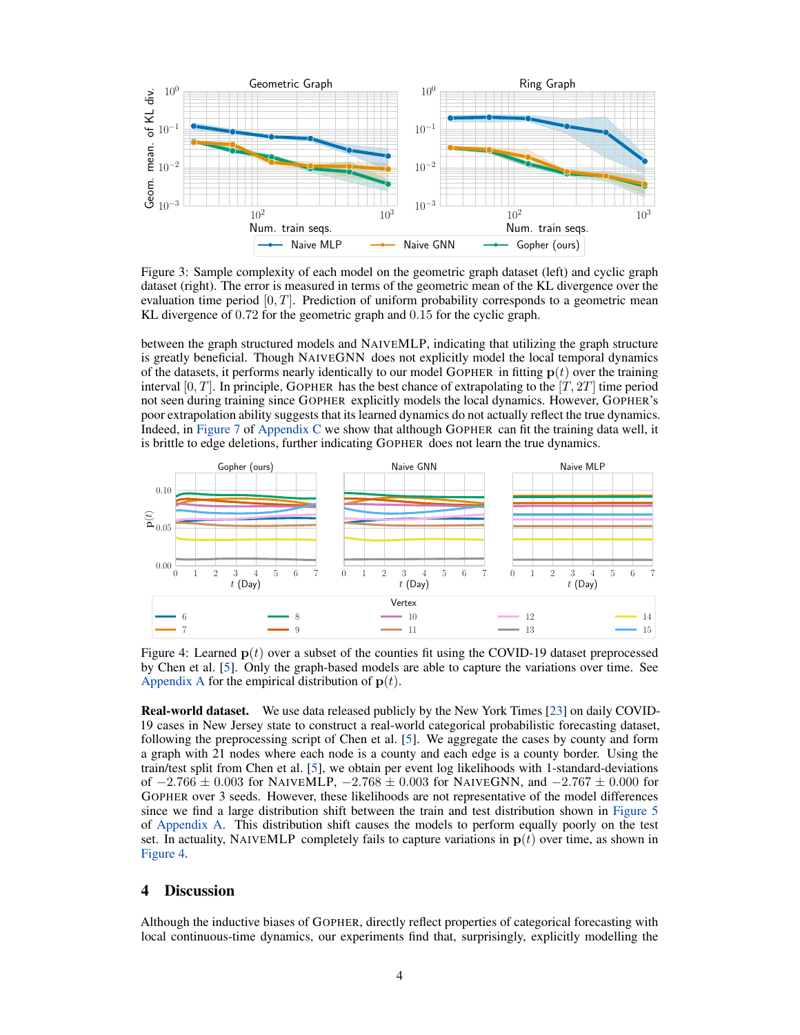<span id="page-3-0"></span>

Figure 3: Sample complexity of each model on the geometric graph dataset (left) and cyclic graph dataset (right). The error is measured in terms of the geometric mean of the KL divergence over the evaluation time period [0*, T*]. Prediction of uniform probability corresponds to a geometric mean KL divergence of 0*.*72 for the geometric graph and 0*.*15 for the cyclic graph.

between the graph structured models and NAIVEMLP, indicating that utilizing the graph structure is greatly beneficial. Though NAIVEGNN does not explicitly model the local temporal dynamics of the datasets, it performs nearly identically to our model GOPHER in fitting  $p(t)$  over the training interval  $[0, T]$ . In principle, GOPHER has the best chance of extrapolating to the  $[T, 2T]$  time period not seen during training since GOPHER explicitly models the local dynamics. However, GOPHER's poor extrapolation ability suggests that its learned dynamics do not actually reflect the true dynamics. Indeed, in Figure 7 of Appendix C we show that although GOPHER can fit the training data well, it is brittle to edge deletions, further indicating GOPHER does not learn the true dynamics.

<span id="page-3-1"></span>

Figure 4: Learned **p**(*t*) over a subset of the counties fit using the COVID-19 dataset preprocessed by Chen et al. [\[5](#page-4-7)]. Only the graph-based models are able to capture the variations over time. See Appendix A for the empirical distribution of  $p(t)$ .

Real-world dataset. We use data released publicly by the New York Times [[23\]](#page-5-10) on daily COVID-19 cases in New Jersey state to construct a real-world categorical probabilistic forecasting dataset, following the preprocessing script of Chen et al. [[5\]](#page-4-7). We aggregate the cases by county and form a graph with 21 nodes where each node is a county and each edge is a county border. Using the train/test split from Chen et al. [\[5](#page-4-7)], we obtain per event log likelihoods with 1-standard-deviations of *−*2*.*766 *±* 0*.*003 for NAIVEMLP, *−*2*.*768 *±* 0*.*003 for NAIVEGNN, and *−*2*.*767 *±* 0*.*000 for GOPHER over 3 seeds. However, these likelihoods are not representative of the model differences since we find a large distribution shift between the train and test distribution shown in Figure 5 of Appendix A. This distribution shift causes the models to perform equally poorly on the test set. In actuality, NAIVEMLP completely fails to capture variations in  $p(t)$  over time, as shown in [Figure 4](#page-3-1).

## 4 Discussion

Although the inductive biases of GOPHER, directly reflect properties of categorical forecasting with local continuous-time dynamics, our experiments find that, surprisingly, explicitly modelling the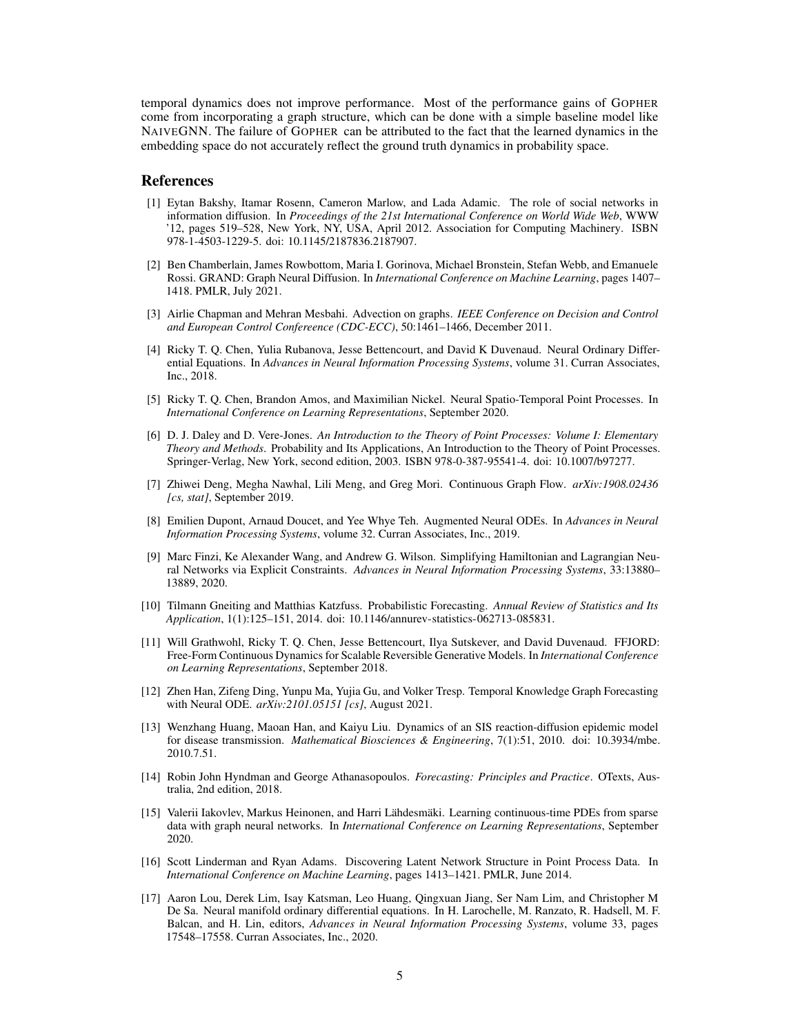temporal dynamics does not improve performance. Most of the performance gains of GOPHER come from incorporating a graph structure, which can be done with a simple baseline model like NAIVEGNN. The failure of GOPHER can be attributed to the fact that the learned dynamics in the embedding space do not accurately reflect the ground truth dynamics in probability space.

#### **References**

- <span id="page-4-1"></span>[1] Eytan Bakshy, Itamar Rosenn, Cameron Marlow, and Lada Adamic. The role of social networks in information diffusion. In *Proceedings of the 21st International Conference on World Wide Web*, WWW '12, pages 519–528, New York, NY, USA, April 2012. Association for Computing Machinery. ISBN 978-1-4503-1229-5. doi: 10.1145/2187836.2187907.
- <span id="page-4-11"></span>[2] Ben Chamberlain, James Rowbottom, Maria I. Gorinova, Michael Bronstein, Stefan Webb, and Emanuele Rossi. GRAND: Graph Neural Diffusion. In *International Conference on Machine Learning*, pages 1407– 1418. PMLR, July 2021.
- <span id="page-4-14"></span>[3] Airlie Chapman and Mehran Mesbahi. Advection on graphs. *IEEE Conference on Decision and Control and European Control Confereence (CDC-ECC)*, 50:1461–1466, December 2011.
- <span id="page-4-5"></span>[4] Ricky T. Q. Chen, Yulia Rubanova, Jesse Bettencourt, and David K Duvenaud. Neural Ordinary Differential Equations. In *Advances in Neural Information Processing Systems*, volume 31. Curran Associates, Inc., 2018.
- <span id="page-4-7"></span>[5] Ricky T. Q. Chen, Brandon Amos, and Maximilian Nickel. Neural Spatio-Temporal Point Processes. In *International Conference on Learning Representations*, September 2020.
- <span id="page-4-4"></span>[6] D. J. Daley and D. Vere-Jones. *An Introduction to the Theory of Point Processes: Volume I: Elementary Theory and Methods*. Probability and Its Applications, An Introduction to the Theory of Point Processes. Springer-Verlag, New York, second edition, 2003. ISBN 978-0-387-95541-4. doi: 10.1007/b97277.
- <span id="page-4-10"></span>[7] Zhiwei Deng, Megha Nawhal, Lili Meng, and Greg Mori. Continuous Graph Flow. *arXiv:1908.02436 [cs, stat]*, September 2019.
- [8] Emilien Dupont, Arnaud Doucet, and Yee Whye Teh. Augmented Neural ODEs. In *Advances in Neural Information Processing Systems*, volume 32. Curran Associates, Inc., 2019.
- <span id="page-4-15"></span>[9] Marc Finzi, Ke Alexander Wang, and Andrew G. Wilson. Simplifying Hamiltonian and Lagrangian Neural Networks via Explicit Constraints. *Advances in Neural Information Processing Systems*, 33:13880– 13889, 2020.
- <span id="page-4-0"></span>[10] Tilmann Gneiting and Matthias Katzfuss. Probabilistic Forecasting. *Annual Review of Statistics and Its Application*, 1(1):125–151, 2014. doi: 10.1146/annurev-statistics-062713-085831.
- <span id="page-4-6"></span>[11] Will Grathwohl, Ricky T. Q. Chen, Jesse Bettencourt, Ilya Sutskever, and David Duvenaud. FFJORD: Free-Form Continuous Dynamics for Scalable Reversible Generative Models. In *International Conference on Learning Representations*, September 2018.
- <span id="page-4-13"></span>[12] Zhen Han, Zifeng Ding, Yunpu Ma, Yujia Gu, and Volker Tresp. Temporal Knowledge Graph Forecasting with Neural ODE. *arXiv:2101.05151 [cs]*, August 2021.
- <span id="page-4-2"></span>[13] Wenzhang Huang, Maoan Han, and Kaiyu Liu. Dynamics of an SIS reaction-diffusion epidemic model for disease transmission. *Mathematical Biosciences & Engineering*, 7(1):51, 2010. doi: 10.3934/mbe. 2010.7.51.
- <span id="page-4-9"></span>[14] Robin John Hyndman and George Athanasopoulos. *Forecasting: Principles and Practice*. OTexts, Australia, 2nd edition, 2018.
- <span id="page-4-12"></span>[15] Valerii Iakovlev, Markus Heinonen, and Harri Lähdesmäki. Learning continuous-time PDEs from sparse data with graph neural networks. In *International Conference on Learning Representations*, September 2020.
- <span id="page-4-3"></span>[16] Scott Linderman and Ryan Adams. Discovering Latent Network Structure in Point Process Data. In *International Conference on Machine Learning*, pages 1413–1421. PMLR, June 2014.
- <span id="page-4-8"></span>[17] Aaron Lou, Derek Lim, Isay Katsman, Leo Huang, Qingxuan Jiang, Ser Nam Lim, and Christopher M De Sa. Neural manifold ordinary differential equations. In H. Larochelle, M. Ranzato, R. Hadsell, M. F. Balcan, and H. Lin, editors, *Advances in Neural Information Processing Systems*, volume 33, pages 17548–17558. Curran Associates, Inc., 2020.